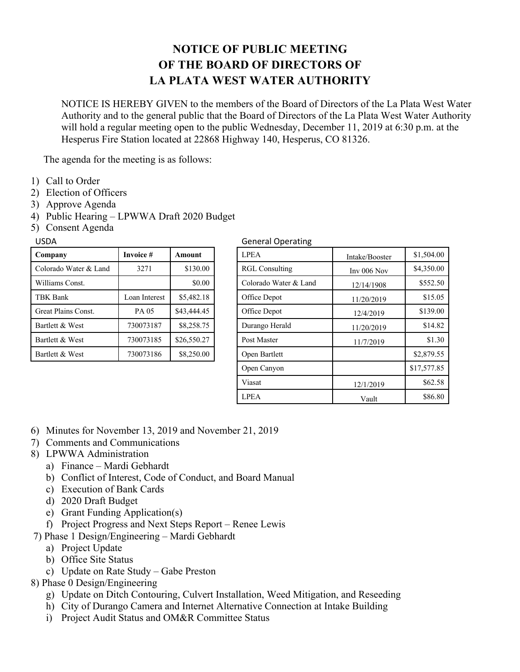## **NOTICE OF PUBLIC MEETING OF THE BOARD OF DIRECTORS OF LA PLATA WEST WATER AUTHORITY**

NOTICE IS HEREBY GIVEN to the members of the Board of Directors of the La Plata West Water Authority and to the general public that the Board of Directors of the La Plata West Water Authority will hold a regular meeting open to the public Wednesday, December 11, 2019 at 6:30 p.m. at the Hesperus Fire Station located at 22868 Highway 140, Hesperus, CO 81326.

The agenda for the meeting is as follows:

- 1) Call to Order
- 2) Election of Officers
- 3) Approve Agenda
- 4) Public Hearing LPWWA Draft 2020 Budget
- 5) Consent Agenda

| Company               | Invoice #     | Amount      |  |
|-----------------------|---------------|-------------|--|
| Colorado Water & Land | 3271          | \$130.00    |  |
| Williams Const.       |               | \$0.00      |  |
| TBK Bank              | Loan Interest | \$5,482.18  |  |
| Great Plains Const.   | PA 05         | \$43,444.45 |  |
| Bartlett & West       | 730073187     | \$8,258.75  |  |
| Bartlett & West       | 730073185     | \$26,550.27 |  |
| Bartlett & West       | 730073186     | \$8,250.00  |  |

## USDA General Operating

| Company               | Invoice #     | Amount      | <b>LPEA</b>           | Intake/Booster | \$1,504.00  |  |
|-----------------------|---------------|-------------|-----------------------|----------------|-------------|--|
| Colorado Water & Land | 3271          | \$130.00    | <b>RGL Consulting</b> | Inv $006$ Nov  | \$4,350.00  |  |
| Williams Const.       |               | \$0.00      | Colorado Water & Land | 12/14/1908     |             |  |
| TBK Bank              | Loan Interest | \$5,482.18  | Office Depot          | 11/20/2019     |             |  |
| Great Plains Const.   | PA 05         | \$43,444.45 | Office Depot          | 12/4/2019      | \$139.00    |  |
| Bartlett & West       | 730073187     | \$8,258.75  | Durango Herald        | 11/20/2019     |             |  |
| Bartlett & West       | 730073185     | \$26,550.27 | Post Master           | 11/7/2019      |             |  |
| Bartlett & West       | 730073186     | \$8,250.00  | Open Bartlett         |                | \$2,879.55  |  |
|                       |               |             | Open Canyon           |                | \$17,577.85 |  |
|                       |               |             | Viasat                | 12/1/2019      |             |  |
|                       |               |             | <b>LPEA</b>           | Vault          |             |  |

- 6) Minutes for November 13, 2019 and November 21, 2019
- 7) Comments and Communications
- 8) LPWWA Administration
	- a) Finance Mardi Gebhardt
	- b) Conflict of Interest, Code of Conduct, and Board Manual
	- c) Execution of Bank Cards
	- d) 2020 Draft Budget
	- e) Grant Funding Application(s)
	- f) Project Progress and Next Steps Report Renee Lewis
- 7) Phase 1 Design/Engineering Mardi Gebhardt
	- a) Project Update
	- b) Office Site Status
	- c) Update on Rate Study Gabe Preston
- 8) Phase 0 Design/Engineering
	- g) Update on Ditch Contouring, Culvert Installation, Weed Mitigation, and Reseeding
	- h) City of Durango Camera and Internet Alternative Connection at Intake Building
	- i) Project Audit Status and OM&R Committee Status